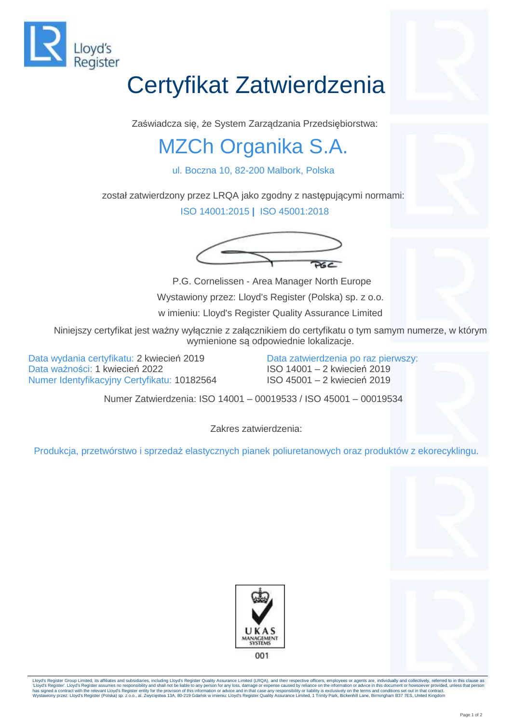

## Certyfikat Zatwierdzenia

Zaświadcza się, że System Zarządzania Przedsiębiorstwa:

## MZCh Organika S.A.

ul. Boczna 10, 82-200 Malbork, Polska

został zatwierdzony przez LRQA jako zgodny z następującymi normami:

ISO 14001:2015 **|** ISO 45001:2018



P.G. Cornelissen - Area Manager North Europe Wystawiony przez: Lloyd's Register (Polska) sp. z o.o.

w imieniu: Lloyd's Register Quality Assurance Limited

Niniejszy certyfikat jest ważny wyłącznie z załącznikiem do certyfikatu o tym samym numerze, w którym wymienione są odpowiednie lokalizacje.

Data wydania certyfikatu: 2 kwiecień 2019 Data ważności: 1 kwiecień 2022 Numer Identyfikacyjny Certyfikatu: 10182564 Data zatwierdzenia po raz pierwszy: ISO 14001 – 2 kwiecień 2019 ISO 45001 – 2 kwiecień 2019

Numer Zatwierdzenia: ISO 14001 – 00019533 / ISO 45001 – 00019534

Zakres zatwierdzenia:

Produkcja, przetwórstwo i sprzedaż elastycznych pianek poliuretanowych oraz produktów z ekorecyklingu.





Lloyd's Register Group Limited, its affiliates and subsidiaries, including Lloyd's Register Quality Assurance Limited (LRQA), and their respective officers, employees or agents are, individually and collectively, referred